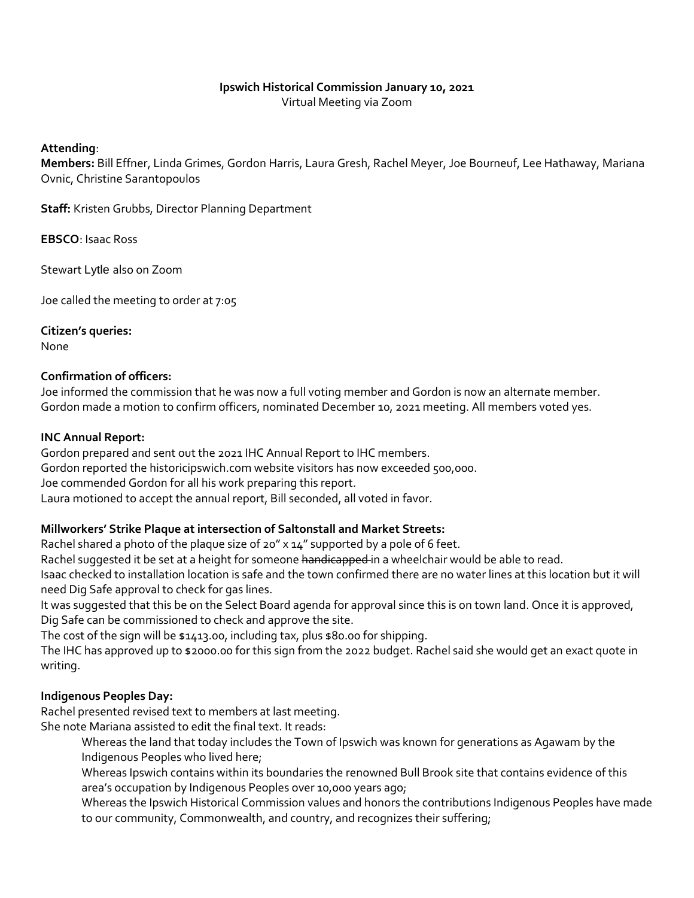# **Ipswich Historical Commission January 10, 2021**

Virtual Meeting via Zoom

#### **Attending**:

**Members:** Bill Effner, Linda Grimes, Gordon Harris, Laura Gresh, Rachel Meyer, Joe Bourneuf, Lee Hathaway, Mariana Ovnic, Christine Sarantopoulos

**Staff:** Kristen Grubbs, Director Planning Department

**EBSCO**: Isaac Ross

Stewart Lytle also on Zoom

Joe called the meeting to order at 7:05

### **Citizen's queries:**

None

#### **Confirmation of officers:**

Joe informed the commission that he was now a full voting member and Gordon is now an alternate member. Gordon made a motion to confirm officers, nominated December 10, 2021 meeting. All members voted yes.

#### **INC Annual Report:**

Gordon prepared and sent out the 2021 IHC Annual Report to IHC members. Gordon reported the historicipswich.com website visitors has now exceeded 500,000. Joe commended Gordon for all his work preparing this report. Laura motioned to accept the annual report, Bill seconded, all voted in favor.

### **Millworkers' Strike Plaque at intersection of Saltonstall and Market Streets:**

Rachel shared a photo of the plaque size of 20" x 14" supported by a pole of 6 feet.

Rachel suggested it be set at a height for someone handicapped in a wheelchair would be able to read.

Isaac checked to installation location is safe and the town confirmed there are no water lines at this location but it will need Dig Safe approval to check for gas lines.

It was suggested that this be on the Select Board agenda for approval since this is on town land. Once it is approved, Dig Safe can be commissioned to check and approve the site.

The cost of the sign will be \$1413.00, including tax, plus \$80.00 for shipping.

The IHC has approved up to \$2000.00 for this sign from the 2022 budget. Rachel said she would get an exact quote in writing.

### **Indigenous Peoples Day:**

Rachel presented revised text to members at last meeting. She note Mariana assisted to edit the final text. It reads:

Whereas the land that today includes the Town of Ipswich was known for generations as Agawam by the Indigenous Peoples who lived here;

Whereas Ipswich contains within its boundaries the renowned Bull Brook site that contains evidence of this area's occupation by Indigenous Peoples over 10,000 years ago;

Whereas the Ipswich Historical Commission values and honors the contributions Indigenous Peoples have made to our community, Commonwealth, and country, and recognizes their suffering;